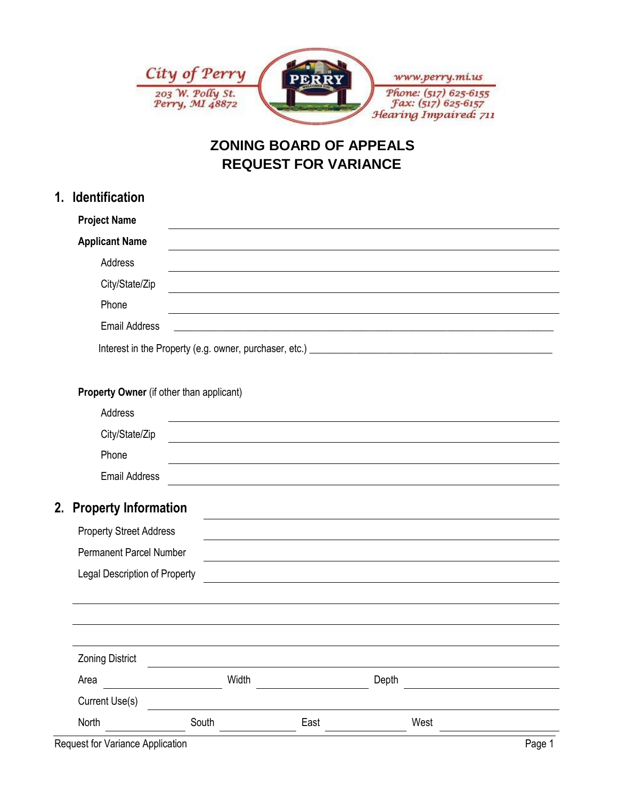

# **ZONING BOARD OF APPEALS REQUEST FOR VARIANCE**

| 1. | <b>Identification</b>                                                                                                                      |       |                                                                                                                      |       |      |  |  |  |
|----|--------------------------------------------------------------------------------------------------------------------------------------------|-------|----------------------------------------------------------------------------------------------------------------------|-------|------|--|--|--|
|    | <b>Project Name</b>                                                                                                                        |       |                                                                                                                      |       |      |  |  |  |
|    | <b>Applicant Name</b>                                                                                                                      |       |                                                                                                                      |       |      |  |  |  |
|    | Address                                                                                                                                    |       |                                                                                                                      |       |      |  |  |  |
|    | City/State/Zip                                                                                                                             |       |                                                                                                                      |       |      |  |  |  |
|    | Phone                                                                                                                                      |       |                                                                                                                      |       |      |  |  |  |
|    | <b>Email Address</b><br><u> 1980 - John Stein, marking and de families and de families and de families and de families and de families</u> |       |                                                                                                                      |       |      |  |  |  |
|    |                                                                                                                                            |       |                                                                                                                      |       |      |  |  |  |
|    |                                                                                                                                            |       |                                                                                                                      |       |      |  |  |  |
|    | Property Owner (if other than applicant)                                                                                                   |       |                                                                                                                      |       |      |  |  |  |
|    | Address                                                                                                                                    |       | <u> 1989 - Johann Stein, marking ar yn y brening yn y brening yn y brening y brening yn y brening yn y brening y</u> |       |      |  |  |  |
|    | City/State/Zip                                                                                                                             |       |                                                                                                                      |       |      |  |  |  |
|    | Phone                                                                                                                                      |       |                                                                                                                      |       |      |  |  |  |
|    | <b>Email Address</b>                                                                                                                       |       | <u> 1989 - Johann Stein, fransk politik (f. 1989)</u>                                                                |       |      |  |  |  |
|    | 2. Property Information                                                                                                                    |       |                                                                                                                      |       |      |  |  |  |
|    | <b>Property Street Address</b>                                                                                                             |       |                                                                                                                      |       |      |  |  |  |
|    | <b>Permanent Parcel Number</b>                                                                                                             |       |                                                                                                                      |       |      |  |  |  |
|    | <b>Legal Description of Property</b>                                                                                                       |       |                                                                                                                      |       |      |  |  |  |
|    |                                                                                                                                            |       |                                                                                                                      |       |      |  |  |  |
|    |                                                                                                                                            |       |                                                                                                                      |       |      |  |  |  |
|    |                                                                                                                                            |       |                                                                                                                      |       |      |  |  |  |
|    | <b>Zoning District</b>                                                                                                                     |       |                                                                                                                      |       |      |  |  |  |
|    | Area                                                                                                                                       | Width |                                                                                                                      | Depth |      |  |  |  |
|    | Current Use(s)                                                                                                                             |       |                                                                                                                      |       |      |  |  |  |
|    | North                                                                                                                                      | South | East                                                                                                                 |       | West |  |  |  |

Request for Variance Application **Page 1 Page 1**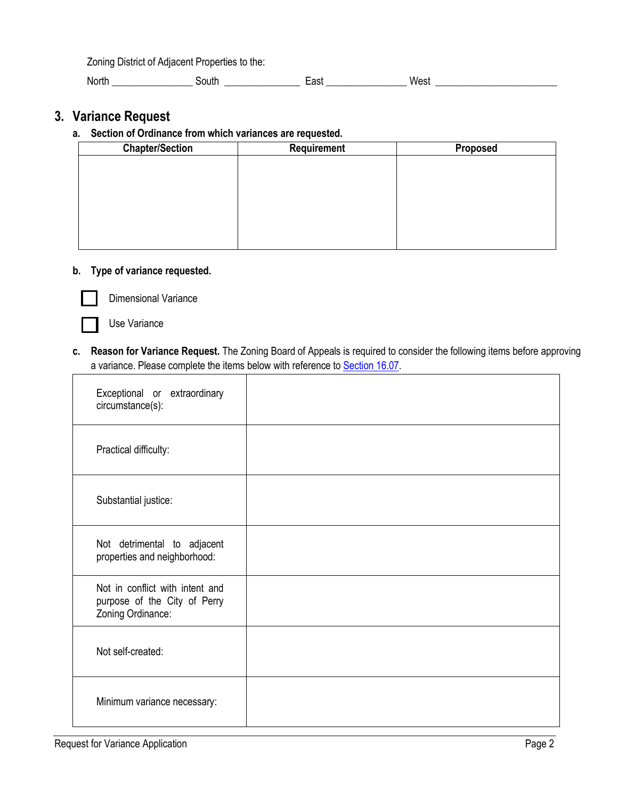Zoning District of Adjacent Properties to the:

North \_\_\_\_\_\_\_\_\_\_\_\_\_\_\_\_\_\_\_\_ South \_\_\_\_\_\_\_\_\_\_\_\_\_\_\_\_\_\_\_\_ East \_\_\_\_\_\_\_\_\_\_\_\_\_\_\_\_\_\_\_\_\_ West \_\_\_\_\_\_\_\_\_\_\_\_\_\_\_\_\_\_\_\_\_\_\_\_

### **3. Variance Request**

#### **a. Section of Ordinance from which variances are requested.**

| <b>Chapter/Section</b> | Requirement | Proposed |
|------------------------|-------------|----------|
|                        |             |          |
|                        |             |          |
|                        |             |          |
|                        |             |          |
|                        |             |          |
|                        |             |          |
|                        |             |          |

#### **b. Type of variance requested.**



Dimensional Variance

Use Variance

c. Reason for Variance Request. The Zoning Board of Appeals is required to consider the following items before approving a variance. Please complete the items below with reference to [Section 16.07.](file:///C:/Users/dclein/Documents/Fall%20Projects/Perry%20Zoning%20Ordinance/Perry%20Draft%20Ordinance%20-%20WORKING%2011-12-15.docx%23SECTION_1607)

| Exceptional or extraordinary<br>circumstance(s):                                     |  |
|--------------------------------------------------------------------------------------|--|
| Practical difficulty:                                                                |  |
| Substantial justice:                                                                 |  |
| Not detrimental to adjacent<br>properties and neighborhood:                          |  |
| Not in conflict with intent and<br>purpose of the City of Perry<br>Zoning Ordinance: |  |
| Not self-created:                                                                    |  |
| Minimum variance necessary:                                                          |  |